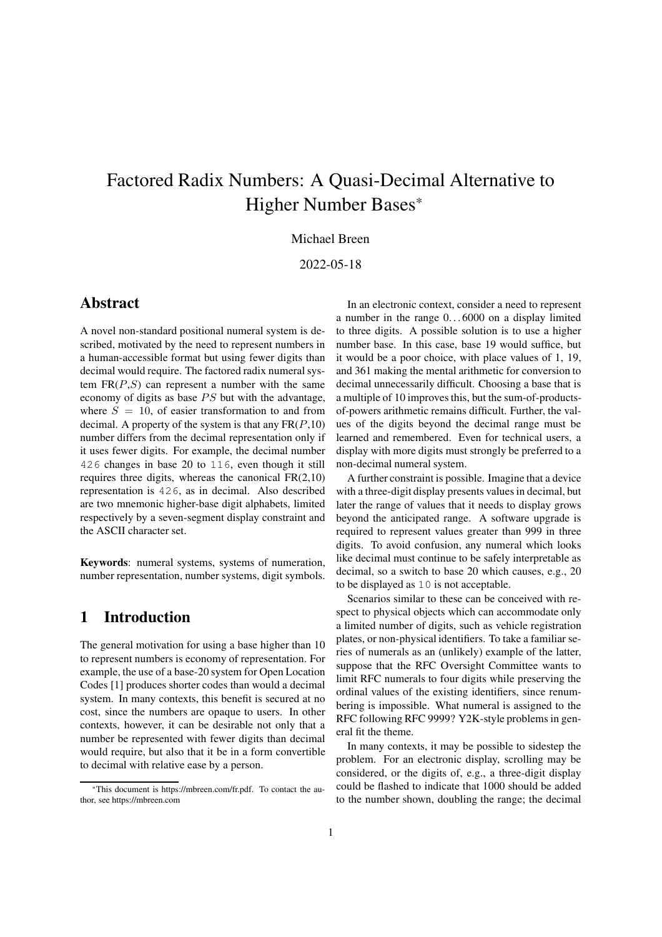# Factored Radix Numbers: A Quasi-Decimal Alternative to Higher Number Bases\*

#### Michael Breen

#### 2022-05-18

#### Abstract

A novel non-standard positional numeral system is described, motivated by the need to represent numbers in a human-accessible format but using fewer digits than decimal would require. The factored radix numeral system  $FR(P, S)$  can represent a number with the same economy of digits as base  $PS$  but with the advantage, where  $S = 10$ , of easier transformation to and from decimal. A property of the system is that any  $FR(P,10)$ number differs from the decimal representation only if it uses fewer digits. For example, the decimal number 426 changes in base 20 to 116, even though it still requires three digits, whereas the canonical  $FR(2,10)$ representation is 426, as in decimal. Also described are two mnemonic higher-base digit alphabets, limited respectively by a seven-segment display constraint and the ASCII character set.

Keywords: numeral systems, systems of numeration, number representation, number systems, digit symbols.

#### 1 Introduction

The general motivation for using a base higher than 10 to represent numbers is economy of representation. For example, the use of a base-20 system for Open Location Codes [1] produces shorter codes than would a decimal system. In many contexts, this benefit is secured at no cost, since the numbers are opaque to users. In other contexts, however, it can be desirable not only that a number be represented with fewer digits than decimal would require, but also that it be in a form convertible to decimal with relative ease by a person.

In an electronic context, consider a need to represent a number in the range  $0...6000$  on a display limited to three digits. A possible solution is to use a higher number base. In this case, base 19 would suffice, but it would be a poor choice, with place values of 1, 19, and 361 making the mental arithmetic for conversion to decimal unnecessarily difficult. Choosing a base that is a multiple of 10 improves this, but the sum-of-productsof-powers arithmetic remains difficult. Further, the values of the digits beyond the decimal range must be learned and remembered. Even for technical users, a display with more digits must strongly be preferred to a non-decimal numeral system.

A further constraint is possible. Imagine that a device with a three-digit display presents values in decimal, but later the range of values that it needs to display grows beyond the anticipated range. A software upgrade is required to represent values greater than 999 in three digits. To avoid confusion, any numeral which looks like decimal must continue to be safely interpretable as decimal, so a switch to base 20 which causes, e.g., 20 to be displayed as 10 is not acceptable.

Scenarios similar to these can be conceived with respect to physical objects which can accommodate only a limited number of digits, such as vehicle registration plates, or non-physical identifiers. To take a familiar series of numerals as an (unlikely) example of the latter, suppose that the RFC Oversight Committee wants to limit RFC numerals to four digits while preserving the ordinal values of the existing identifiers, since renumbering is impossible. What numeral is assigned to the RFC following RFC 9999? Y2K-style problems in general fit the theme.

In many contexts, it may be possible to sidestep the problem. For an electronic display, scrolling may be considered, or the digits of, e.g., a three-digit display could be flashed to indicate that 1000 should be added to the number shown, doubling the range; the decimal

<sup>\*</sup>This document is https://mbreen.com/fr.pdf. To contact the author, see https://mbreen.com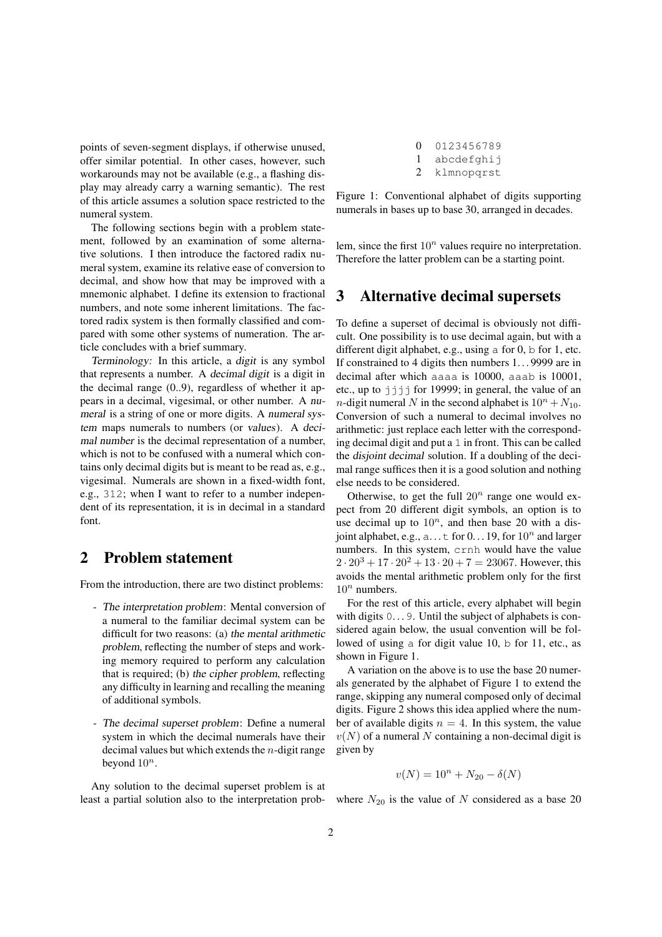points of seven-segment displays, if otherwise unused, offer similar potential. In other cases, however, such workarounds may not be available (e.g., a flashing display may already carry a warning semantic). The rest of this article assumes a solution space restricted to the numeral system.

The following sections begin with a problem statement, followed by an examination of some alternative solutions. I then introduce the factored radix numeral system, examine its relative ease of conversion to decimal, and show how that may be improved with a mnemonic alphabet. I define its extension to fractional numbers, and note some inherent limitations. The factored radix system is then formally classified and compared with some other systems of numeration. The article concludes with a brief summary.

Terminology: In this article, a digit is any symbol that represents a number. A decimal digit is a digit in the decimal range (0..9), regardless of whether it appears in a decimal, vigesimal, or other number. A numeral is a string of one or more digits. A numeral system maps numerals to numbers (or values). A decimal number is the decimal representation of a number, which is not to be confused with a numeral which contains only decimal digits but is meant to be read as, e.g., vigesimal. Numerals are shown in a fixed-width font, e.g., 312; when I want to refer to a number independent of its representation, it is in decimal in a standard font.

## 2 Problem statement

From the introduction, there are two distinct problems:

- The interpretation problem: Mental conversion of a numeral to the familiar decimal system can be difficult for two reasons: (a) the mental arithmetic problem, reflecting the number of steps and working memory required to perform any calculation that is required; (b) the cipher problem, reflecting any difficulty in learning and recalling the meaning of additional symbols.
- The decimal superset problem: Define a numeral system in which the decimal numerals have their decimal values but which extends the  $n$ -digit range beyond  $10^n$ .

Any solution to the decimal superset problem is at least a partial solution also to the interpretation prob-

| $\Omega$                    | 0123456789 |
|-----------------------------|------------|
|                             | abcdefghij |
| $\mathcal{D}_{\mathcal{L}}$ | klmnopqrst |

Figure 1: Conventional alphabet of digits supporting numerals in bases up to base 30, arranged in decades.

lem, since the first  $10^n$  values require no interpretation. Therefore the latter problem can be a starting point.

#### 3 Alternative decimal supersets

To define a superset of decimal is obviously not difficult. One possibility is to use decimal again, but with a different digit alphabet, e.g., using a for 0, b for 1, etc. If constrained to 4 digits then numbers 1...9999 are in decimal after which aaaa is 10000, aaab is 10001, etc., up to  $j \nmid j$  for 19999; in general, the value of an *n*-digit numeral N in the second alphabet is  $10^n + N_{10}$ . Conversion of such a numeral to decimal involves no arithmetic: just replace each letter with the corresponding decimal digit and put a 1 in front. This can be called the disjoint decimal solution. If a doubling of the decimal range suffices then it is a good solution and nothing else needs to be considered.

Otherwise, to get the full  $20<sup>n</sup>$  range one would expect from 20 different digit symbols, an option is to use decimal up to  $10^n$ , and then base 20 with a disjoint alphabet, e.g.,  $a...t$  for  $0...19$ , for  $10^n$  and larger numbers. In this system, crnh would have the value  $2 \cdot 20^3 + 17 \cdot 20^2 + 13 \cdot 20 + 7 = 23067$ . However, this avoids the mental arithmetic problem only for the first  $10^n$  numbers.

For the rest of this article, every alphabet will begin with digits  $0 \ldots 9$ . Until the subject of alphabets is considered again below, the usual convention will be followed of using a for digit value 10, b for 11, etc., as shown in Figure 1.

A variation on the above is to use the base 20 numerals generated by the alphabet of Figure 1 to extend the range, skipping any numeral composed only of decimal digits. Figure 2 shows this idea applied where the number of available digits  $n = 4$ . In this system, the value  $v(N)$  of a numeral N containing a non-decimal digit is given by

$$
v(N) = 10^n + N_{20} - \delta(N)
$$

where  $N_{20}$  is the value of N considered as a base 20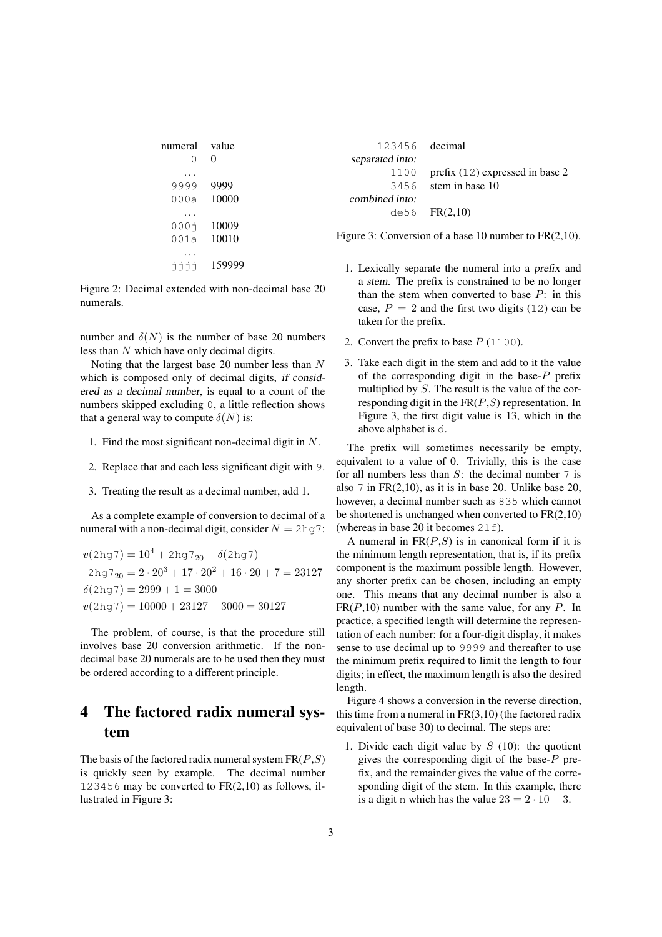| numeral   | value    | 123456 decimal  |                                                          |
|-----------|----------|-----------------|----------------------------------------------------------|
| 0         | $\theta$ | separated into: |                                                          |
| $\cdots$  |          | 1100            | prefix $(12)$ expressed in base 2                        |
| 9999      | 9999     | 3456            | stem in base 10                                          |
| 000a      | 10000    | combined into:  |                                                          |
| $\cdots$  |          |                 | $de56$ $FR(2,10)$                                        |
| 0001      | 10009    |                 |                                                          |
| 001a      | 10010    |                 | Figure 3: Conversion of a base 10 number to $FR(2,10)$ . |
| $\ddotsc$ |          |                 |                                                          |

Figure 2: Decimal extended with non-decimal base 20

number and  $\delta(N)$  is the number of base 20 numbers less than N which have only decimal digits.

numerals.

jjjj 159999

Noting that the largest base 20 number less than N which is composed only of decimal digits, if considered as <sup>a</sup> decimal number, is equal to a count of the numbers skipped excluding 0, a little reflection shows that a general way to compute  $\delta(N)$  is:

- 1. Find the most significant non-decimal digit in N.
- 2. Replace that and each less significant digit with 9.
- 3. Treating the result as a decimal number, add 1.

As a complete example of conversion to decimal of a numeral with a non-decimal digit, consider  $N = 2\text{hg}$ 7:

$$
v(2hg7) = 104 + 2hg720 - \delta(2hg7)
$$
  
2hg7<sub>20</sub> = 2 \cdot 20<sup>3</sup> + 17 \cdot 20<sup>2</sup> + 16 \cdot 20 + 7 = 23127  

$$
\delta(2hg7) = 2999 + 1 = 3000
$$
  

$$
v(2hg7) = 10000 + 23127 - 3000 = 30127
$$

The problem, of course, is that the procedure still involves base 20 conversion arithmetic. If the nondecimal base 20 numerals are to be used then they must be ordered according to a different principle.

## 4 The factored radix numeral system

The basis of the factored radix numeral system  $FR(P, S)$ is quickly seen by example. The decimal number 123456 may be converted to  $FR(2,10)$  as follows, illustrated in Figure 3:

- 1. Lexically separate the numeral into a prefix and a stem. The prefix is constrained to be no longer than the stem when converted to base  $P$ : in this case,  $P = 2$  and the first two digits (12) can be taken for the prefix.
- 2. Convert the prefix to base  $P(1100)$ .
- 3. Take each digit in the stem and add to it the value of the corresponding digit in the base- $P$  prefix multiplied by S. The result is the value of the corresponding digit in the  $FR(P, S)$  representation. In Figure 3, the first digit value is 13, which in the above alphabet is d.

The prefix will sometimes necessarily be empty, equivalent to a value of 0. Trivially, this is the case for all numbers less than  $S$ : the decimal number  $7$  is also 7 in  $FR(2,10)$ , as it is in base 20. Unlike base 20, however, a decimal number such as 835 which cannot be shortened is unchanged when converted to  $FR(2,10)$ (whereas in base 20 it becomes  $21f$ ).

A numeral in  $FR(P, S)$  is in canonical form if it is the minimum length representation, that is, if its prefix component is the maximum possible length. However, any shorter prefix can be chosen, including an empty one. This means that any decimal number is also a  $FR(P,10)$  number with the same value, for any P. In practice, a specified length will determine the representation of each number: for a four-digit display, it makes sense to use decimal up to 9999 and thereafter to use the minimum prefix required to limit the length to four digits; in effect, the maximum length is also the desired length.

Figure 4 shows a conversion in the reverse direction, this time from a numeral in  $FR(3,10)$  (the factored radix equivalent of base 30) to decimal. The steps are:

1. Divide each digit value by  $S(10)$ : the quotient gives the corresponding digit of the base-P prefix, and the remainder gives the value of the corresponding digit of the stem. In this example, there is a digit n which has the value  $23 = 2 \cdot 10 + 3$ .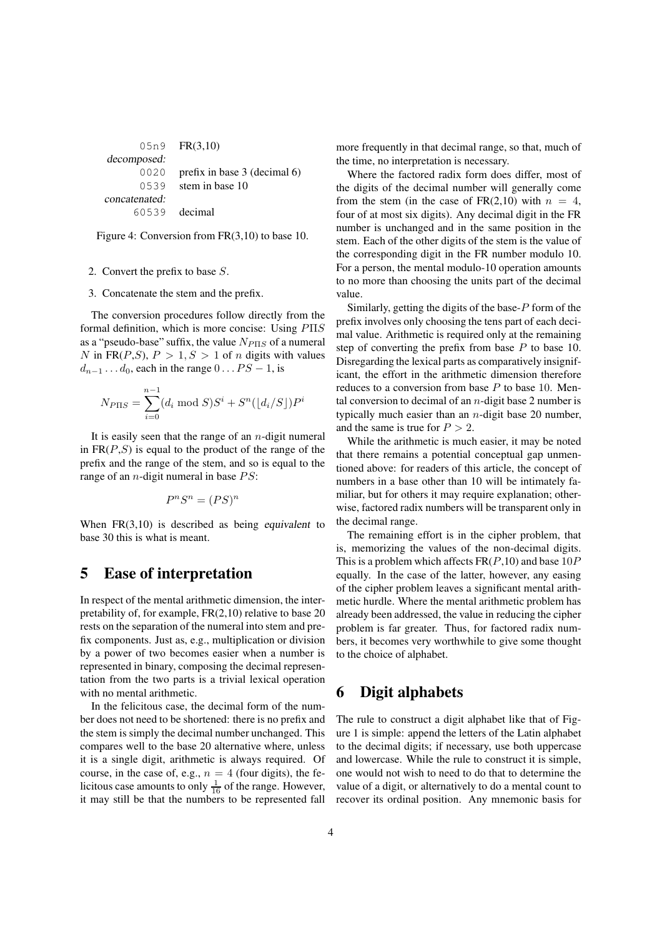05n9 FR(3,10) decomposed: 0020 prefix in base 3 (decimal 6) 0539 stem in base 10 concatenated: 60539 decimal

Figure 4: Conversion from FR(3,10) to base 10.

2. Convert the prefix to base S.

3. Concatenate the stem and the prefix.

The conversion procedures follow directly from the formal definition, which is more concise: Using PΠS as a "pseudo-base" suffix, the value  $N_{P \Pi S}$  of a numeral N in FR(P,S),  $P > 1, S > 1$  of n digits with values  $d_{n-1} \ldots d_0$ , each in the range  $0 \ldots PS - 1$ , is

$$
N_{P \Pi S} = \sum_{i=0}^{n-1} (d_i \bmod S) S^i + S^n(\lfloor d_i / S \rfloor) P^i
$$

It is easily seen that the range of an  $n$ -digit numeral in  $FR(P,S)$  is equal to the product of the range of the prefix and the range of the stem, and so is equal to the range of an *n*-digit numeral in base  $PS$ :

$$
P^n S^n = (PS)^n
$$

When FR(3,10) is described as being equivalent to base 30 this is what is meant.

#### 5 Ease of interpretation

In respect of the mental arithmetic dimension, the interpretability of, for example, FR(2,10) relative to base 20 rests on the separation of the numeral into stem and prefix components. Just as, e.g., multiplication or division by a power of two becomes easier when a number is represented in binary, composing the decimal representation from the two parts is a trivial lexical operation with no mental arithmetic.

In the felicitous case, the decimal form of the number does not need to be shortened: there is no prefix and the stem is simply the decimal number unchanged. This compares well to the base 20 alternative where, unless it is a single digit, arithmetic is always required. Of course, in the case of, e.g.,  $n = 4$  (four digits), the felicitous case amounts to only  $\frac{1}{16}$  of the range. However, it may still be that the numbers to be represented fall more frequently in that decimal range, so that, much of the time, no interpretation is necessary.

Where the factored radix form does differ, most of the digits of the decimal number will generally come from the stem (in the case of FR(2,10) with  $n = 4$ , four of at most six digits). Any decimal digit in the FR number is unchanged and in the same position in the stem. Each of the other digits of the stem is the value of the corresponding digit in the FR number modulo 10. For a person, the mental modulo-10 operation amounts to no more than choosing the units part of the decimal value.

Similarly, getting the digits of the base-P form of the prefix involves only choosing the tens part of each decimal value. Arithmetic is required only at the remaining step of converting the prefix from base  $P$  to base 10. Disregarding the lexical parts as comparatively insignificant, the effort in the arithmetic dimension therefore reduces to a conversion from base  $P$  to base 10. Mental conversion to decimal of an  $n$ -digit base 2 number is typically much easier than an  $n$ -digit base 20 number, and the same is true for  $P > 2$ .

While the arithmetic is much easier, it may be noted that there remains a potential conceptual gap unmentioned above: for readers of this article, the concept of numbers in a base other than 10 will be intimately familiar, but for others it may require explanation; otherwise, factored radix numbers will be transparent only in the decimal range.

The remaining effort is in the cipher problem, that is, memorizing the values of the non-decimal digits. This is a problem which affects  $FR(P,10)$  and base  $10P$ equally. In the case of the latter, however, any easing of the cipher problem leaves a significant mental arithmetic hurdle. Where the mental arithmetic problem has already been addressed, the value in reducing the cipher problem is far greater. Thus, for factored radix numbers, it becomes very worthwhile to give some thought to the choice of alphabet.

### 6 Digit alphabets

The rule to construct a digit alphabet like that of Figure 1 is simple: append the letters of the Latin alphabet to the decimal digits; if necessary, use both uppercase and lowercase. While the rule to construct it is simple, one would not wish to need to do that to determine the value of a digit, or alternatively to do a mental count to recover its ordinal position. Any mnemonic basis for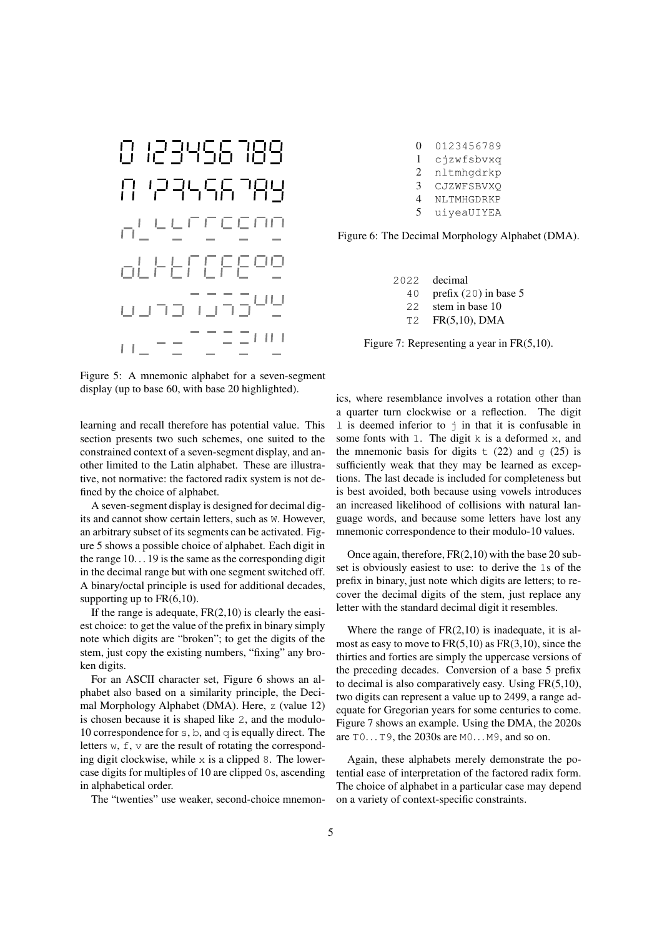

Figure 5: A mnemonic alphabet for a seven-segment display (up to base 60, with base 20 highlighted).

learning and recall therefore has potential value. This section presents two such schemes, one suited to the constrained context of a seven-segment display, and another limited to the Latin alphabet. These are illustrative, not normative: the factored radix system is not defined by the choice of alphabet.

A seven-segment display is designed for decimal digits and cannot show certain letters, such as W. However, an arbitrary subset of its segments can be activated. Figure 5 shows a possible choice of alphabet. Each digit in the range  $10...19$  is the same as the corresponding digit in the decimal range but with one segment switched off. A binary/octal principle is used for additional decades, supporting up to  $FR(6,10)$ .

If the range is adequate,  $FR(2,10)$  is clearly the easiest choice: to get the value of the prefix in binary simply note which digits are "broken"; to get the digits of the stem, just copy the existing numbers, "fixing" any broken digits.

For an ASCII character set, Figure 6 shows an alphabet also based on a similarity principle, the Decimal Morphology Alphabet (DMA). Here, z (value 12) is chosen because it is shaped like 2, and the modulo-10 correspondence for s, b, and  $q$  is equally direct. The letters  $w$ ,  $f$ ,  $v$  are the result of rotating the corresponding digit clockwise, while  $x$  is a clipped 8. The lowercase digits for multiples of 10 are clipped 0s, ascending in alphabetical order.

The "twenties" use weaker, second-choice mnemon-

 0123456789 cjzwfsbvxq nltmhgdrkp CJZWFSBVXQ NLTMHGDRKP uiyeaUIYEA

Figure 6: The Decimal Morphology Alphabet (DMA).

2022 decimal 40 prefix (20) in base 5 22 stem in base 10 T2 FR(5,10), DMA

Figure 7: Representing a year in FR(5,10).

ics, where resemblance involves a rotation other than a quarter turn clockwise or a reflection. The digit l is deemed inferior to j in that it is confusable in some fonts with 1. The digit k is a deformed x, and the mnemonic basis for digits  $\pm$  (22) and g (25) is sufficiently weak that they may be learned as exceptions. The last decade is included for completeness but is best avoided, both because using vowels introduces an increased likelihood of collisions with natural language words, and because some letters have lost any mnemonic correspondence to their modulo-10 values.

Once again, therefore, FR(2,10) with the base 20 subset is obviously easiest to use: to derive the 1s of the prefix in binary, just note which digits are letters; to recover the decimal digits of the stem, just replace any letter with the standard decimal digit it resembles.

Where the range of  $FR(2,10)$  is inadequate, it is almost as easy to move to  $FR(5,10)$  as  $FR(3,10)$ , since the thirties and forties are simply the uppercase versions of the preceding decades. Conversion of a base 5 prefix to decimal is also comparatively easy. Using FR(5,10), two digits can represent a value up to 2499, a range adequate for Gregorian years for some centuries to come. Figure 7 shows an example. Using the DMA, the 2020s are T0. . .T9, the 2030s are M0. . .M9, and so on.

Again, these alphabets merely demonstrate the potential ease of interpretation of the factored radix form. The choice of alphabet in a particular case may depend on a variety of context-specific constraints.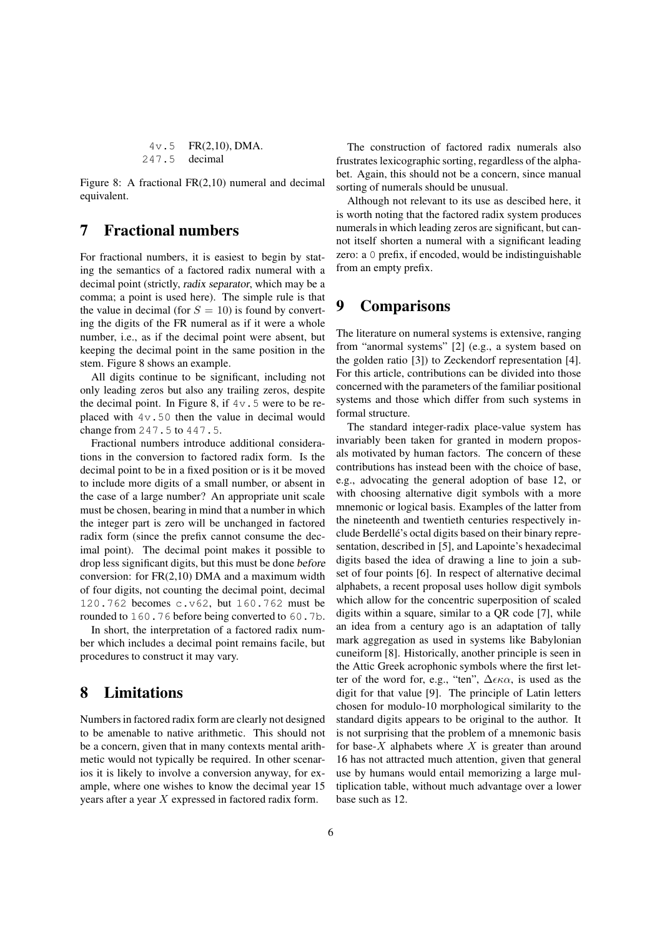$$
4v.5
$$
 FR(2,10), DMA.  
247.5 decimal

Figure 8: A fractional FR(2,10) numeral and decimal equivalent.

#### 7 Fractional numbers

For fractional numbers, it is easiest to begin by stating the semantics of a factored radix numeral with a decimal point (strictly, radix separator, which may be a comma; a point is used here). The simple rule is that the value in decimal (for  $S = 10$ ) is found by converting the digits of the FR numeral as if it were a whole number, i.e., as if the decimal point were absent, but keeping the decimal point in the same position in the stem. Figure 8 shows an example.

All digits continue to be significant, including not only leading zeros but also any trailing zeros, despite the decimal point. In Figure 8, if  $4v \cdot 5$  were to be replaced with 4v.50 then the value in decimal would change from 247.5 to 447.5.

Fractional numbers introduce additional considerations in the conversion to factored radix form. Is the decimal point to be in a fixed position or is it be moved to include more digits of a small number, or absent in the case of a large number? An appropriate unit scale must be chosen, bearing in mind that a number in which the integer part is zero will be unchanged in factored radix form (since the prefix cannot consume the decimal point). The decimal point makes it possible to drop less significant digits, but this must be done before conversion: for FR(2,10) DMA and a maximum width of four digits, not counting the decimal point, decimal 120.762 becomes c.v62, but 160.762 must be rounded to 160.76 before being converted to 60.7b.

In short, the interpretation of a factored radix number which includes a decimal point remains facile, but procedures to construct it may vary.

## 8 Limitations

Numbers in factored radix form are clearly not designed to be amenable to native arithmetic. This should not be a concern, given that in many contexts mental arithmetic would not typically be required. In other scenarios it is likely to involve a conversion anyway, for example, where one wishes to know the decimal year 15 years after a year X expressed in factored radix form.

The construction of factored radix numerals also frustrates lexicographic sorting, regardless of the alphabet. Again, this should not be a concern, since manual sorting of numerals should be unusual.

Although not relevant to its use as descibed here, it is worth noting that the factored radix system produces numerals in which leading zeros are significant, but cannot itself shorten a numeral with a significant leading zero: a 0 prefix, if encoded, would be indistinguishable from an empty prefix.

#### 9 Comparisons

The literature on numeral systems is extensive, ranging from "anormal systems" [2] (e.g., a system based on the golden ratio [3]) to Zeckendorf representation [4]. For this article, contributions can be divided into those concerned with the parameters of the familiar positional systems and those which differ from such systems in formal structure.

The standard integer-radix place-value system has invariably been taken for granted in modern proposals motivated by human factors. The concern of these contributions has instead been with the choice of base, e.g., advocating the general adoption of base 12, or with choosing alternative digit symbols with a more mnemonic or logical basis. Examples of the latter from the nineteenth and twentieth centuries respectively include Berdellé's octal digits based on their binary representation, described in [5], and Lapointe's hexadecimal digits based the idea of drawing a line to join a subset of four points [6]. In respect of alternative decimal alphabets, a recent proposal uses hollow digit symbols which allow for the concentric superposition of scaled digits within a square, similar to a QR code [7], while an idea from a century ago is an adaptation of tally mark aggregation as used in systems like Babylonian cuneiform [8]. Historically, another principle is seen in the Attic Greek acrophonic symbols where the first letter of the word for, e.g., "ten",  $\Delta \epsilon \kappa \alpha$ , is used as the digit for that value [9]. The principle of Latin letters chosen for modulo-10 morphological similarity to the standard digits appears to be original to the author. It is not surprising that the problem of a mnemonic basis for base- $X$  alphabets where  $X$  is greater than around 16 has not attracted much attention, given that general use by humans would entail memorizing a large multiplication table, without much advantage over a lower base such as 12.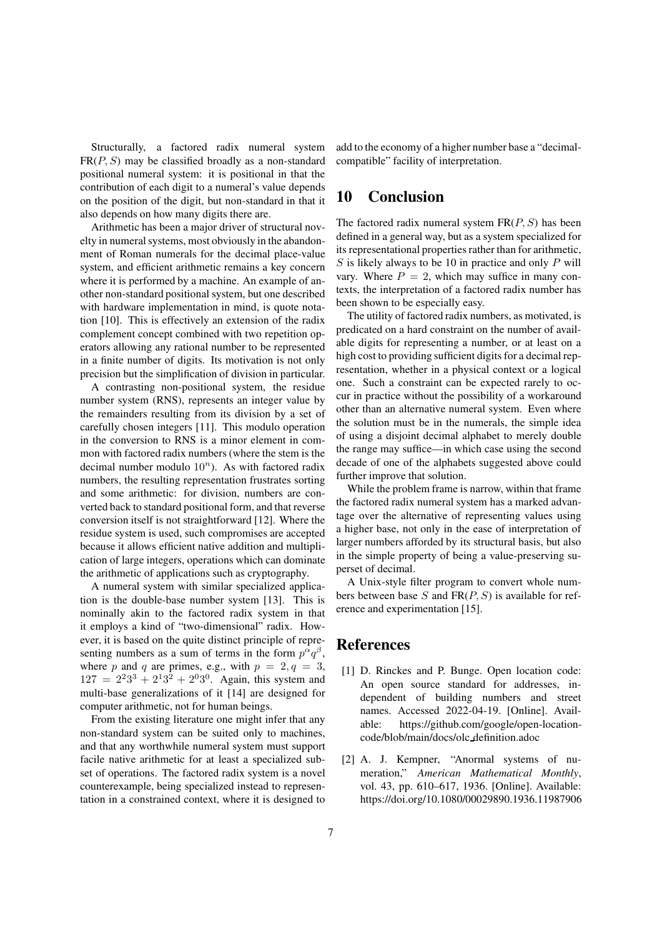Structurally, a factored radix numeral system  $FR(P, S)$  may be classified broadly as a non-standard positional numeral system: it is positional in that the contribution of each digit to a numeral's value depends on the position of the digit, but non-standard in that it also depends on how many digits there are.

Arithmetic has been a major driver of structural novelty in numeral systems, most obviously in the abandonment of Roman numerals for the decimal place-value system, and efficient arithmetic remains a key concern where it is performed by a machine. An example of another non-standard positional system, but one described with hardware implementation in mind, is quote notation [10]. This is effectively an extension of the radix complement concept combined with two repetition operators allowing any rational number to be represented in a finite number of digits. Its motivation is not only precision but the simplification of division in particular.

A contrasting non-positional system, the residue number system (RNS), represents an integer value by the remainders resulting from its division by a set of carefully chosen integers [11]. This modulo operation in the conversion to RNS is a minor element in common with factored radix numbers (where the stem is the decimal number modulo  $10^n$ ). As with factored radix numbers, the resulting representation frustrates sorting and some arithmetic: for division, numbers are converted back to standard positional form, and that reverse conversion itself is not straightforward [12]. Where the residue system is used, such compromises are accepted because it allows efficient native addition and multiplication of large integers, operations which can dominate the arithmetic of applications such as cryptography.

A numeral system with similar specialized application is the double-base number system [13]. This is nominally akin to the factored radix system in that it employs a kind of "two-dimensional" radix. However, it is based on the quite distinct principle of representing numbers as a sum of terms in the form  $p^{\alpha}q^{\beta}$ , where p and q are primes, e.g., with  $p = 2, q = 3$ ,  $127 = 2^2 3^3 + 2^1 3^2 + 2^0 3^0$ . Again, this system and multi-base generalizations of it [14] are designed for computer arithmetic, not for human beings.

From the existing literature one might infer that any non-standard system can be suited only to machines, and that any worthwhile numeral system must support facile native arithmetic for at least a specialized subset of operations. The factored radix system is a novel counterexample, being specialized instead to representation in a constrained context, where it is designed to add to the economy of a higher number base a "decimalcompatible" facility of interpretation.

### 10 Conclusion

The factored radix numeral system  $FR(P, S)$  has been defined in a general way, but as a system specialized for its representational properties rather than for arithmetic,  $S$  is likely always to be 10 in practice and only  $P$  will vary. Where  $P = 2$ , which may suffice in many contexts, the interpretation of a factored radix number has been shown to be especially easy.

The utility of factored radix numbers, as motivated, is predicated on a hard constraint on the number of available digits for representing a number, or at least on a high cost to providing sufficient digits for a decimal representation, whether in a physical context or a logical one. Such a constraint can be expected rarely to occur in practice without the possibility of a workaround other than an alternative numeral system. Even where the solution must be in the numerals, the simple idea of using a disjoint decimal alphabet to merely double the range may suffice—in which case using the second decade of one of the alphabets suggested above could further improve that solution.

While the problem frame is narrow, within that frame the factored radix numeral system has a marked advantage over the alternative of representing values using a higher base, not only in the ease of interpretation of larger numbers afforded by its structural basis, but also in the simple property of being a value-preserving superset of decimal.

A Unix-style filter program to convert whole numbers between base  $S$  and  $FR(P, S)$  is available for reference and experimentation [15].

## References

- [1] D. Rinckes and P. Bunge. Open location code: An open source standard for addresses, independent of building numbers and street names. Accessed 2022-04-19. [Online]. Available: https://github.com/google/open-locationcode/blob/main/docs/olc definition.adoc
- [2] A. J. Kempner, "Anormal systems of numeration," *American Mathematical Monthly*, vol. 43, pp. 610–617, 1936. [Online]. Available: https://doi.org/10.1080/00029890.1936.11987906